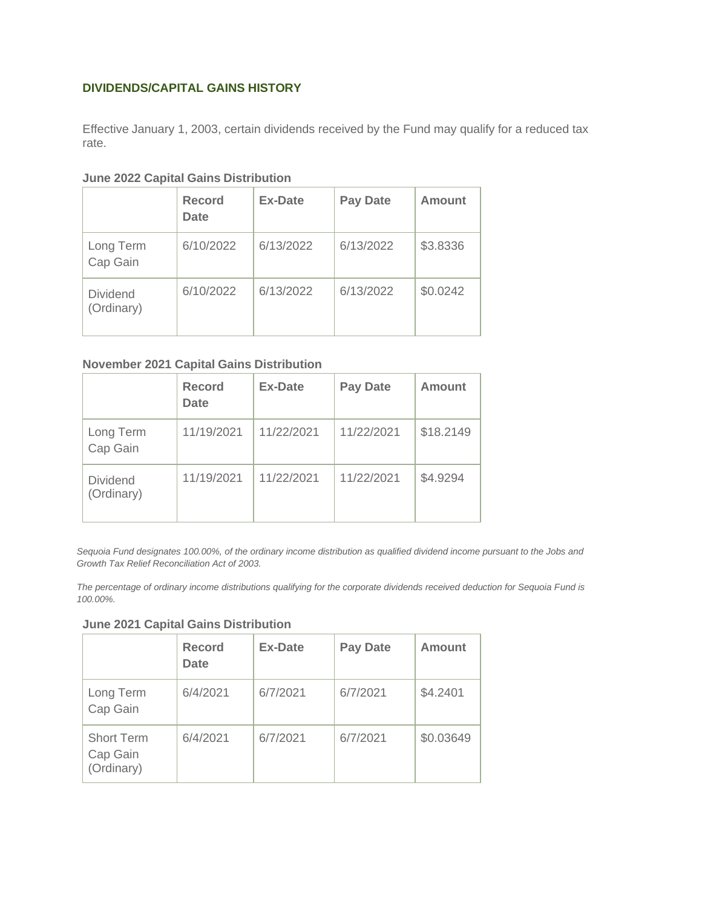#### **DIVIDENDS/CAPITAL GAINS HISTORY**

Effective January 1, 2003, certain dividends received by the Fund may qualify for a reduced tax rate.

#### **June 2022 Capital Gains Distribution**

|                               | <b>Record</b><br><b>Date</b> | <b>Ex-Date</b> | <b>Pay Date</b> | <b>Amount</b> |
|-------------------------------|------------------------------|----------------|-----------------|---------------|
| Long Term<br>Cap Gain         | 6/10/2022                    | 6/13/2022      | 6/13/2022       | \$3.8336      |
| <b>Dividend</b><br>(Ordinary) | 6/10/2022                    | 6/13/2022      | 6/13/2022       | \$0.0242      |

#### **November 2021 Capital Gains Distribution**

|                               | <b>Record</b><br><b>Date</b> | <b>Ex-Date</b> | <b>Pay Date</b> | <b>Amount</b> |
|-------------------------------|------------------------------|----------------|-----------------|---------------|
| Long Term<br>Cap Gain         | 11/19/2021                   | 11/22/2021     | 11/22/2021      | \$18.2149     |
| <b>Dividend</b><br>(Ordinary) | 11/19/2021                   | 11/22/2021     | 11/22/2021      | \$4.9294      |

*Sequoia Fund designates 100.00%, of the ordinary income distribution as qualified dividend income pursuant to the Jobs and Growth Tax Relief Reconciliation Act of 2003.*

*The percentage of ordinary income distributions qualifying for the corporate dividends received deduction for Sequoia Fund is 100.00%.*

#### **June 2021 Capital Gains Distribution**

|                                             | <b>Record</b><br><b>Date</b> | Ex-Date  | <b>Pay Date</b> | Amount    |
|---------------------------------------------|------------------------------|----------|-----------------|-----------|
| Long Term<br>Cap Gain                       | 6/4/2021                     | 6/7/2021 | 6/7/2021        | \$4.2401  |
| <b>Short Term</b><br>Cap Gain<br>(Ordinary) | 6/4/2021                     | 6/7/2021 | 6/7/2021        | \$0.03649 |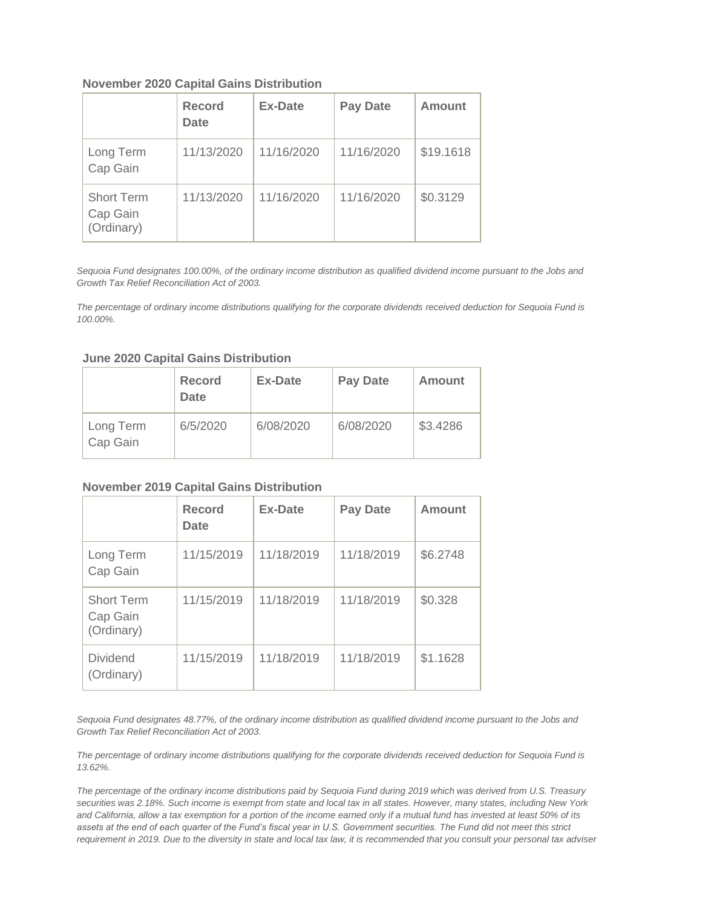#### **November 2020 Capital Gains Distribution**

|                                             | <b>Record</b><br><b>Date</b> | <b>Ex-Date</b> | <b>Pay Date</b> | <b>Amount</b> |
|---------------------------------------------|------------------------------|----------------|-----------------|---------------|
| Long Term<br>Cap Gain                       | 11/13/2020                   | 11/16/2020     | 11/16/2020      | \$19.1618     |
| <b>Short Term</b><br>Cap Gain<br>(Ordinary) | 11/13/2020                   | 11/16/2020     | 11/16/2020      | \$0.3129      |

*Sequoia Fund designates 100.00%, of the ordinary income distribution as qualified dividend income pursuant to the Jobs and Growth Tax Relief Reconciliation Act of 2003.*

*The percentage of ordinary income distributions qualifying for the corporate dividends received deduction for Sequoia Fund is 100.00%.*

#### **June 2020 Capital Gains Distribution**

|                       | Record<br><b>Date</b> | <b>Ex-Date</b> | <b>Pay Date</b> | Amount   |
|-----------------------|-----------------------|----------------|-----------------|----------|
| Long Term<br>Cap Gain | 6/5/2020              | 6/08/2020      | 6/08/2020       | \$3.4286 |

#### **November 2019 Capital Gains Distribution**

|                                             | <b>Record</b><br>Date | <b>Ex-Date</b> | <b>Pay Date</b> | Amount   |
|---------------------------------------------|-----------------------|----------------|-----------------|----------|
| Long Term<br>Cap Gain                       | 11/15/2019            | 11/18/2019     | 11/18/2019      | \$6.2748 |
| <b>Short Term</b><br>Cap Gain<br>(Ordinary) | 11/15/2019            | 11/18/2019     | 11/18/2019      | \$0.328  |
| <b>Dividend</b><br>(Ordinary)               | 11/15/2019            | 11/18/2019     | 11/18/2019      | \$1.1628 |

*Sequoia Fund designates 48.77%, of the ordinary income distribution as qualified dividend income pursuant to the Jobs and Growth Tax Relief Reconciliation Act of 2003.*

*The percentage of ordinary income distributions qualifying for the corporate dividends received deduction for Sequoia Fund is 13.62%.*

*The percentage of the ordinary income distributions paid by Sequoia Fund during 2019 which was derived from U.S. Treasury securities was 2.18%. Such income is exempt from state and local tax in all states. However, many states, including New York and California, allow a tax exemption for a portion of the income earned only if a mutual fund has invested at least 50% of its assets at the end of each quarter of the Fund's fiscal year in U.S. Government securities. The Fund did not meet this strict requirement in 2019. Due to the diversity in state and local tax law, it is recommended that you consult your personal tax adviser*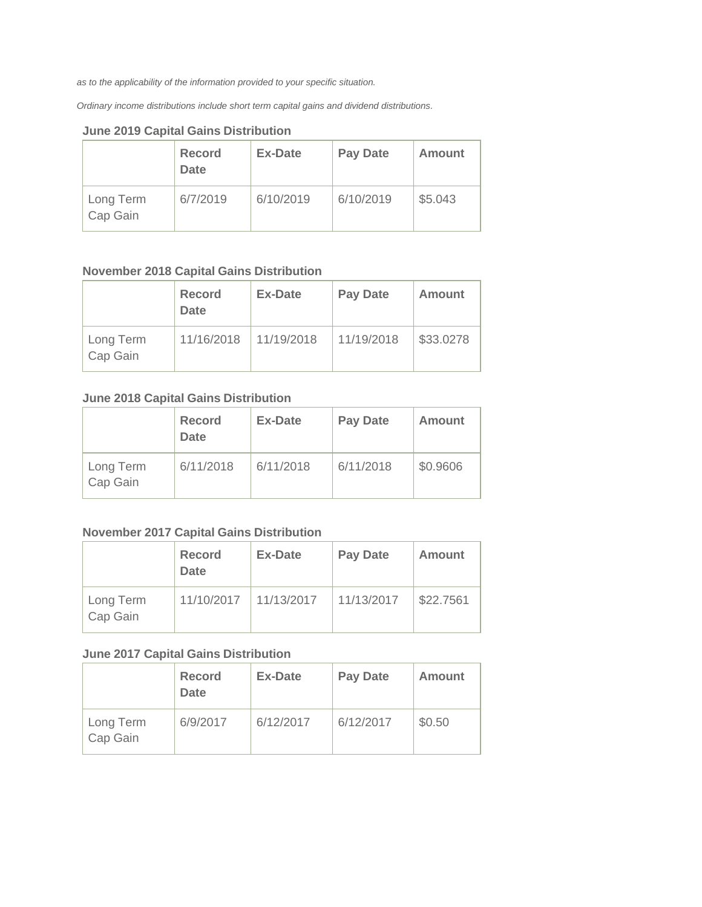*as to the applicability of the information provided to your specific situation.*

*Ordinary income distributions include short term capital gains and dividend distributions.*

|                       | Record<br><b>Date</b> | <b>Ex-Date</b> | <b>Pay Date</b> | Amount  |
|-----------------------|-----------------------|----------------|-----------------|---------|
| Long Term<br>Cap Gain | 6/7/2019              | 6/10/2019      | 6/10/2019       | \$5.043 |

#### **June 2019 Capital Gains Distribution**

### **November 2018 Capital Gains Distribution**

|                       | Record<br><b>Date</b> | Ex-Date    | <b>Pay Date</b> | Amount    |
|-----------------------|-----------------------|------------|-----------------|-----------|
| Long Term<br>Cap Gain | 11/16/2018            | 11/19/2018 | 11/19/2018      | \$33.0278 |

#### **June 2018 Capital Gains Distribution**

|                       | Record<br><b>Date</b> | Ex-Date   | <b>Pay Date</b> | Amount   |
|-----------------------|-----------------------|-----------|-----------------|----------|
| Long Term<br>Cap Gain | 6/11/2018             | 6/11/2018 | 6/11/2018       | \$0.9606 |

### **November 2017 Capital Gains Distribution**

|                       | <b>Record</b><br><b>Date</b> | Ex-Date    | <b>Pay Date</b> | Amount    |
|-----------------------|------------------------------|------------|-----------------|-----------|
| Long Term<br>Cap Gain | 11/10/2017                   | 11/13/2017 | 11/13/2017      | \$22.7561 |

### **June 2017 Capital Gains Distribution**

|                       | Record<br><b>Date</b> | <b>Ex-Date</b> | <b>Pay Date</b> | Amount |
|-----------------------|-----------------------|----------------|-----------------|--------|
| Long Term<br>Cap Gain | 6/9/2017              | 6/12/2017      | 6/12/2017       | \$0.50 |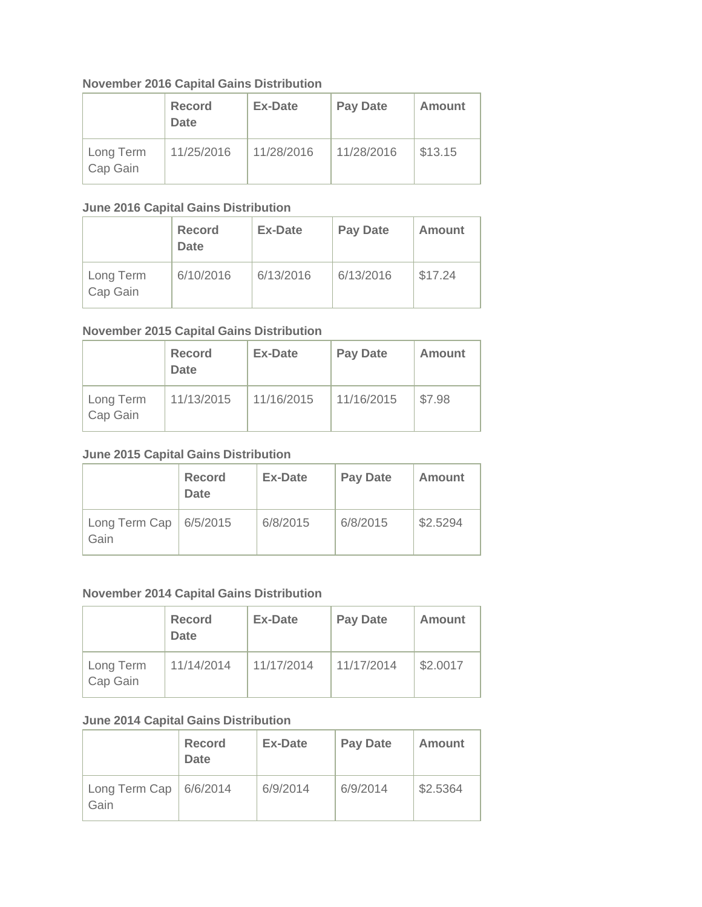### **November 2016 Capital Gains Distribution**

|                       | <b>Record</b><br><b>Date</b> | Ex-Date    | <b>Pay Date</b> | Amount  |
|-----------------------|------------------------------|------------|-----------------|---------|
| Long Term<br>Cap Gain | 11/25/2016                   | 11/28/2016 | 11/28/2016      | \$13.15 |

#### **June 2016 Capital Gains Distribution**

|                       | <b>Record</b><br><b>Date</b> | Ex-Date   | <b>Pay Date</b> | Amount  |
|-----------------------|------------------------------|-----------|-----------------|---------|
| Long Term<br>Cap Gain | 6/10/2016                    | 6/13/2016 | 6/13/2016       | \$17.24 |

### **November 2015 Capital Gains Distribution**

|                       | <b>Record</b><br><b>Date</b> | Ex-Date    | <b>Pay Date</b> | Amount |
|-----------------------|------------------------------|------------|-----------------|--------|
| Long Term<br>Cap Gain | 11/13/2015                   | 11/16/2015 | 11/16/2015      | \$7.98 |

### **June 2015 Capital Gains Distribution**

|                                    | <b>Record</b><br>Date | Ex-Date  | <b>Pay Date</b> | Amount   |
|------------------------------------|-----------------------|----------|-----------------|----------|
| Long Term Cap   $6/5/2015$<br>Gain |                       | 6/8/2015 | 6/8/2015        | \$2.5294 |

#### **November 2014 Capital Gains Distribution**

|                       | <b>Record</b><br><b>Date</b> | Ex-Date    | <b>Pay Date</b> | Amount   |
|-----------------------|------------------------------|------------|-----------------|----------|
| Long Term<br>Cap Gain | 11/14/2014                   | 11/17/2014 | 11/17/2014      | \$2.0017 |

## **June 2014 Capital Gains Distribution**

|                                   | <b>Record</b><br><b>Date</b> | <b>Ex-Date</b> | <b>Pay Date</b> | Amount   |
|-----------------------------------|------------------------------|----------------|-----------------|----------|
| Long Term Cap $ 6/6/2014$<br>Gain |                              | 6/9/2014       | 6/9/2014        | \$2.5364 |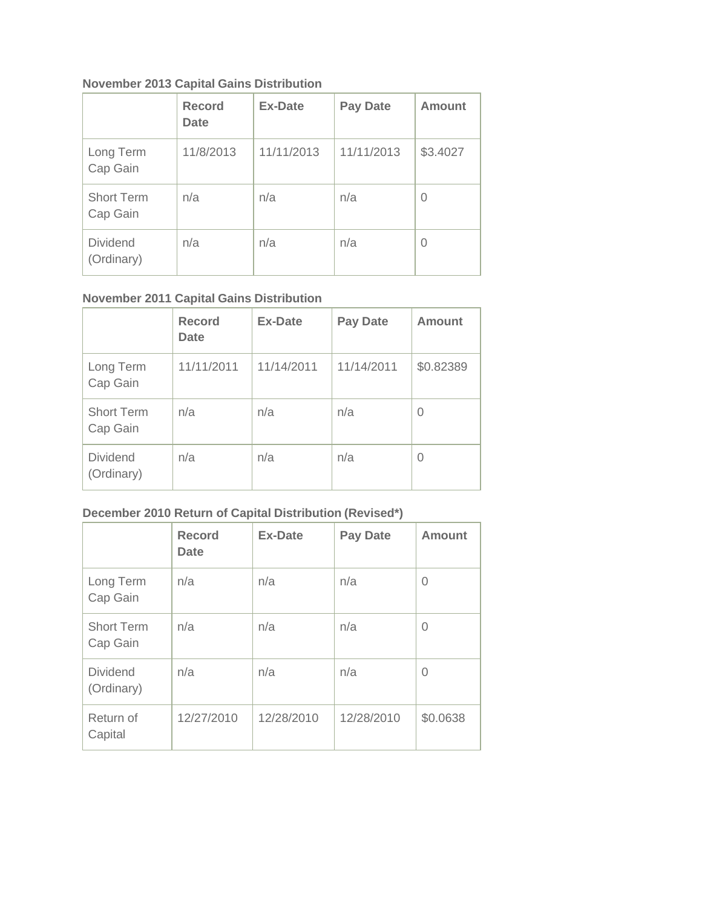# **November 2013 Capital Gains Distribution**

|                               | <b>Record</b><br><b>Date</b> | <b>Ex-Date</b> | <b>Pay Date</b> | Amount   |
|-------------------------------|------------------------------|----------------|-----------------|----------|
| Long Term<br>Cap Gain         | 11/8/2013                    | 11/11/2013     | 11/11/2013      | \$3.4027 |
| <b>Short Term</b><br>Cap Gain | n/a                          | n/a            | n/a             | 0        |
| <b>Dividend</b><br>(Ordinary) | n/a                          | n/a            | n/a             | 0        |

# **November 2011 Capital Gains Distribution**

|                               | <b>Record</b><br><b>Date</b> | <b>Ex-Date</b> | <b>Pay Date</b> | <b>Amount</b> |
|-------------------------------|------------------------------|----------------|-----------------|---------------|
| Long Term<br>Cap Gain         | 11/11/2011                   | 11/14/2011     | 11/14/2011      | \$0.82389     |
| <b>Short Term</b><br>Cap Gain | n/a                          | n/a            | n/a             | 0             |
| <b>Dividend</b><br>(Ordinary) | n/a                          | n/a            | n/a             | 0             |

# **December 2010 Return of Capital Distribution (Revised\*)**

|                               | <b>Record</b><br><b>Date</b> | <b>Ex-Date</b> | <b>Pay Date</b> | <b>Amount</b>  |
|-------------------------------|------------------------------|----------------|-----------------|----------------|
| Long Term<br>Cap Gain         | n/a                          | n/a            | n/a             | 0              |
| <b>Short Term</b><br>Cap Gain | n/a                          | n/a            | n/a             | $\overline{0}$ |
| <b>Dividend</b><br>(Ordinary) | n/a                          | n/a            | n/a             | 0              |
| Return of<br>Capital          | 12/27/2010                   | 12/28/2010     | 12/28/2010      | \$0.0638       |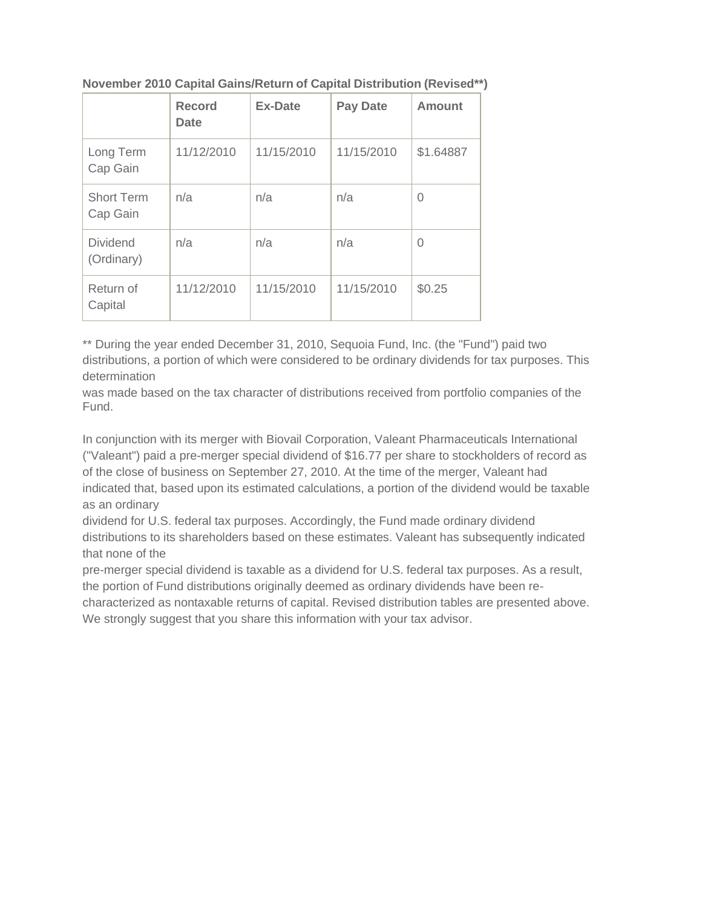|                               | <b>Record</b><br><b>Date</b> | <b>Ex-Date</b> | <b>Pay Date</b> | Amount    |
|-------------------------------|------------------------------|----------------|-----------------|-----------|
| Long Term<br>Cap Gain         | 11/12/2010                   | 11/15/2010     | 11/15/2010      | \$1.64887 |
| <b>Short Term</b><br>Cap Gain | n/a                          | n/a            | n/a             | $\Omega$  |
| <b>Dividend</b><br>(Ordinary) | n/a                          | n/a            | n/a             | 0         |
| Return of<br>Capital          | 11/12/2010                   | 11/15/2010     | 11/15/2010      | \$0.25    |

### **November 2010 Capital Gains/Return of Capital Distribution (Revised\*\*)**

\*\* During the year ended December 31, 2010, Sequoia Fund, Inc. (the "Fund") paid two distributions, a portion of which were considered to be ordinary dividends for tax purposes. This determination

was made based on the tax character of distributions received from portfolio companies of the Fund.

In conjunction with its merger with Biovail Corporation, Valeant Pharmaceuticals International ("Valeant") paid a pre-merger special dividend of \$16.77 per share to stockholders of record as of the close of business on September 27, 2010. At the time of the merger, Valeant had indicated that, based upon its estimated calculations, a portion of the dividend would be taxable as an ordinary

dividend for U.S. federal tax purposes. Accordingly, the Fund made ordinary dividend distributions to its shareholders based on these estimates. Valeant has subsequently indicated that none of the

pre-merger special dividend is taxable as a dividend for U.S. federal tax purposes. As a result, the portion of Fund distributions originally deemed as ordinary dividends have been recharacterized as nontaxable returns of capital. Revised distribution tables are presented above. We strongly suggest that you share this information with your tax advisor.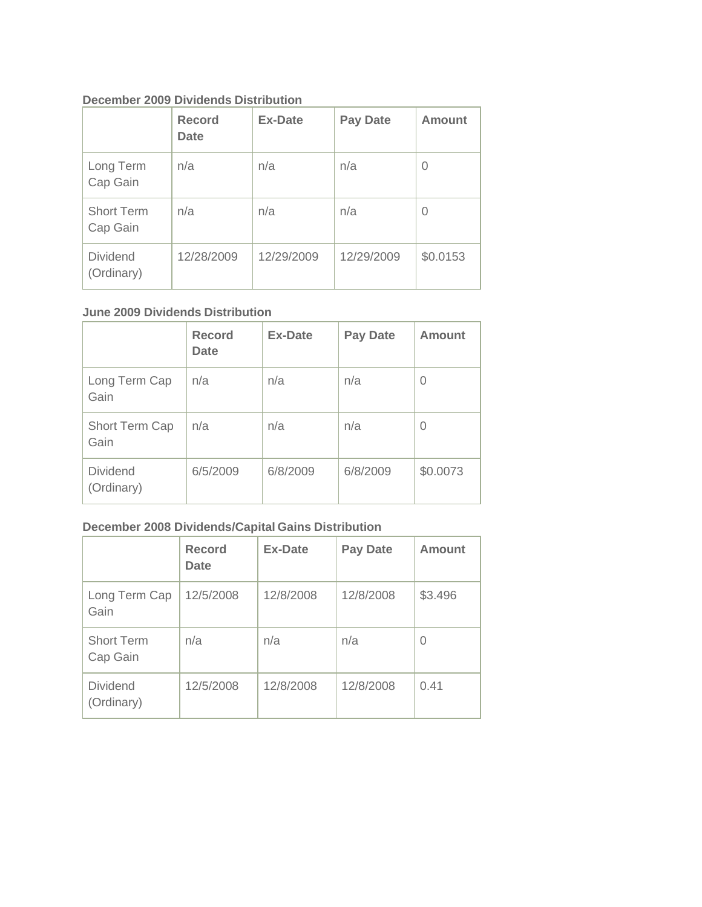### **December 2009 Dividends Distribution**

|                               | <b>Record</b><br><b>Date</b> | <b>Ex-Date</b> | <b>Pay Date</b> | <b>Amount</b> |
|-------------------------------|------------------------------|----------------|-----------------|---------------|
| Long Term<br>Cap Gain         | n/a                          | n/a            | n/a             | 0             |
| <b>Short Term</b><br>Cap Gain | n/a                          | n/a            | n/a             | 0             |
| <b>Dividend</b><br>(Ordinary) | 12/28/2009                   | 12/29/2009     | 12/29/2009      | \$0.0153      |

### **June 2009 Dividends Distribution**

|                               | <b>Record</b><br><b>Date</b> | <b>Ex-Date</b> | <b>Pay Date</b> | Amount   |
|-------------------------------|------------------------------|----------------|-----------------|----------|
| Long Term Cap<br>Gain         | n/a                          | n/a            | n/a             | $\Omega$ |
| Short Term Cap<br>Gain        | n/a                          | n/a            | n/a             | 0        |
| <b>Dividend</b><br>(Ordinary) | 6/5/2009                     | 6/8/2009       | 6/8/2009        | \$0.0073 |

## **December 2008 Dividends/Capital Gains Distribution**

|                               | <b>Record</b><br><b>Date</b> | <b>Ex-Date</b> | <b>Pay Date</b> | Amount  |
|-------------------------------|------------------------------|----------------|-----------------|---------|
| Long Term Cap<br>Gain         | 12/5/2008                    | 12/8/2008      | 12/8/2008       | \$3.496 |
| <b>Short Term</b><br>Cap Gain | n/a                          | n/a            | n/a             | 0       |
| <b>Dividend</b><br>(Ordinary) | 12/5/2008                    | 12/8/2008      | 12/8/2008       | 0.41    |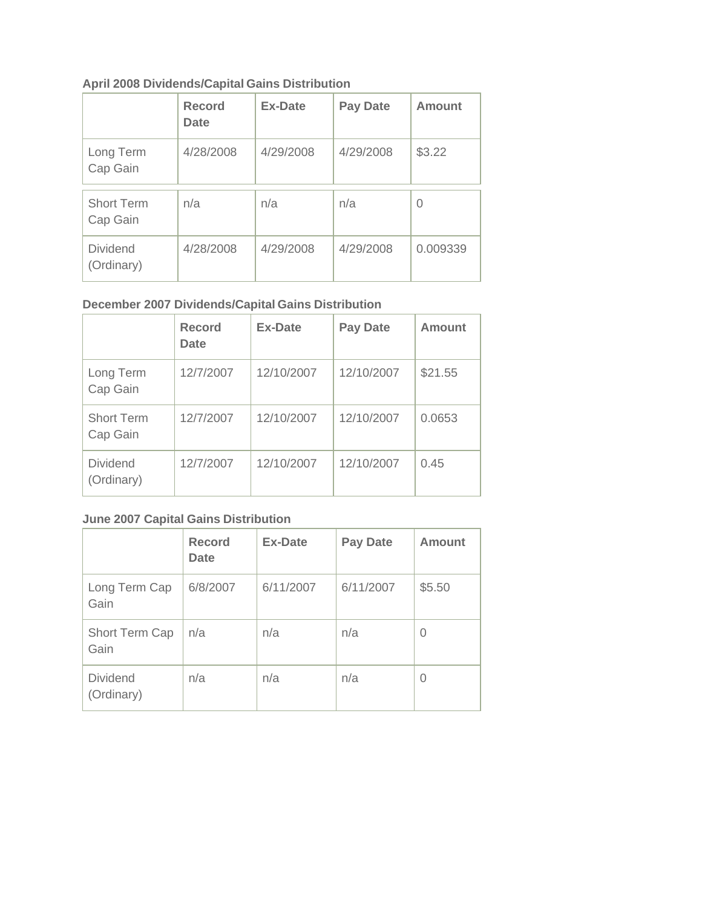## **April 2008 Dividends/Capital Gains Distribution**

|                               | <b>Record</b><br>Date | <b>Ex-Date</b> | <b>Pay Date</b> | Amount   |
|-------------------------------|-----------------------|----------------|-----------------|----------|
| Long Term<br>Cap Gain         | 4/28/2008             | 4/29/2008      | 4/29/2008       | \$3.22   |
| <b>Short Term</b><br>Cap Gain | n/a                   | n/a            | n/a             | 0        |
| <b>Dividend</b><br>(Ordinary) | 4/28/2008             | 4/29/2008      | 4/29/2008       | 0.009339 |

# **December 2007 Dividends/Capital Gains Distribution**

|                               | <b>Record</b><br>Date | <b>Ex-Date</b> | <b>Pay Date</b> | Amount  |
|-------------------------------|-----------------------|----------------|-----------------|---------|
| Long Term<br>Cap Gain         | 12/7/2007             | 12/10/2007     | 12/10/2007      | \$21.55 |
| <b>Short Term</b><br>Cap Gain | 12/7/2007             | 12/10/2007     | 12/10/2007      | 0.0653  |
| <b>Dividend</b><br>(Ordinary) | 12/7/2007             | 12/10/2007     | 12/10/2007      | 0.45    |

# **June 2007 Capital Gains Distribution**

|                               | <b>Record</b><br><b>Date</b> | <b>Ex-Date</b> | <b>Pay Date</b> | Amount |
|-------------------------------|------------------------------|----------------|-----------------|--------|
| Long Term Cap<br>Gain         | 6/8/2007                     | 6/11/2007      | 6/11/2007       | \$5.50 |
| Short Term Cap<br>Gain        | n/a                          | n/a            | n/a             | 0      |
| <b>Dividend</b><br>(Ordinary) | n/a                          | n/a            | n/a             | 0      |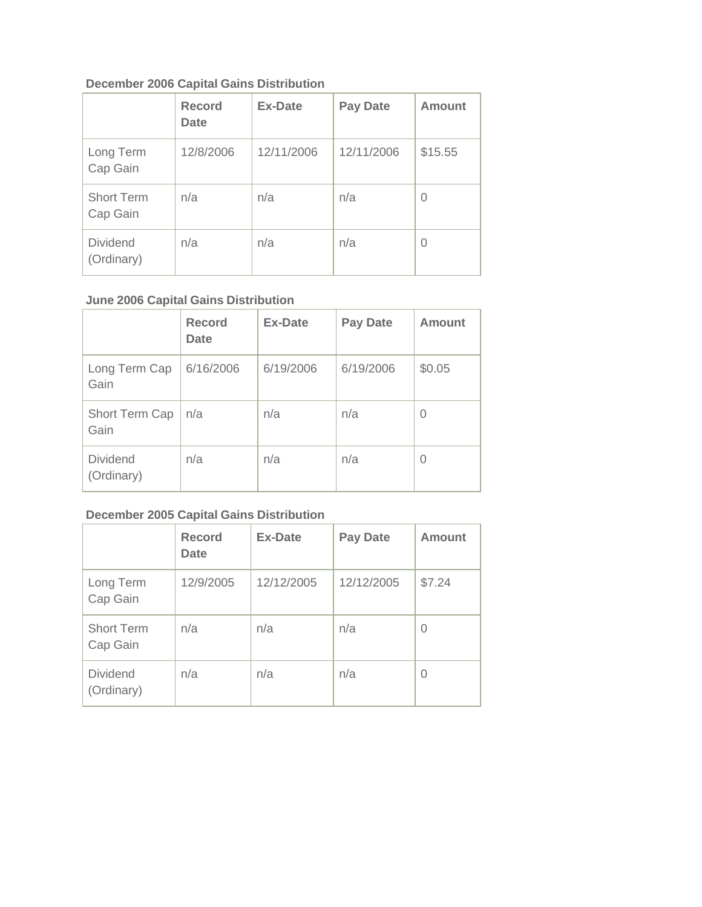## **December 2006 Capital Gains Distribution**

|                               | <b>Record</b><br><b>Date</b> | <b>Ex-Date</b> | <b>Pay Date</b> | Amount  |
|-------------------------------|------------------------------|----------------|-----------------|---------|
| Long Term<br>Cap Gain         | 12/8/2006                    | 12/11/2006     | 12/11/2006      | \$15.55 |
| <b>Short Term</b><br>Cap Gain | n/a                          | n/a            | n/a             | 0       |
| <b>Dividend</b><br>(Ordinary) | n/a                          | n/a            | n/a             | 0       |

# **June 2006 Capital Gains Distribution**

|                               | <b>Record</b><br><b>Date</b> | <b>Ex-Date</b> | <b>Pay Date</b> | Amount |
|-------------------------------|------------------------------|----------------|-----------------|--------|
| Long Term Cap<br>Gain         | 6/16/2006                    | 6/19/2006      | 6/19/2006       | \$0.05 |
| Short Term Cap<br>Gain        | n/a                          | n/a            | n/a             | 0      |
| <b>Dividend</b><br>(Ordinary) | n/a                          | n/a            | n/a             | 0      |

# **December 2005 Capital Gains Distribution**

|                               | <b>Record</b><br><b>Date</b> | <b>Ex-Date</b> | <b>Pay Date</b> | <b>Amount</b> |
|-------------------------------|------------------------------|----------------|-----------------|---------------|
| Long Term<br>Cap Gain         | 12/9/2005                    | 12/12/2005     | 12/12/2005      | \$7.24        |
| <b>Short Term</b><br>Cap Gain | n/a                          | n/a            | n/a             | 0             |
| <b>Dividend</b><br>(Ordinary) | n/a                          | n/a            | n/a             | 0             |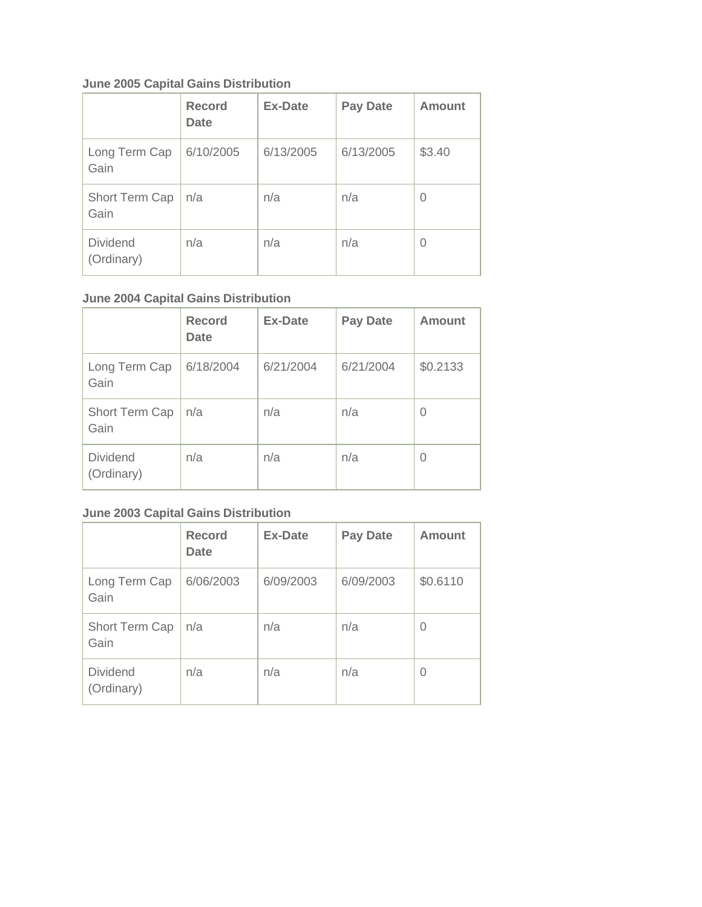# **June 2005 Capital Gains Distribution**

|                               | <b>Record</b><br><b>Date</b> | <b>Ex-Date</b> | <b>Pay Date</b> | Amount   |
|-------------------------------|------------------------------|----------------|-----------------|----------|
| Long Term Cap<br>Gain         | 6/10/2005                    | 6/13/2005      | 6/13/2005       | \$3.40   |
| Short Term Cap<br>Gain        | n/a                          | n/a            | n/a             | $\Omega$ |
| <b>Dividend</b><br>(Ordinary) | n/a                          | n/a            | n/a             | $\Omega$ |

# **June 2004 Capital Gains Distribution**

|                               | <b>Record</b><br><b>Date</b> | <b>Ex-Date</b> | <b>Pay Date</b> | Amount   |
|-------------------------------|------------------------------|----------------|-----------------|----------|
| Long Term Cap<br>Gain         | 6/18/2004                    | 6/21/2004      | 6/21/2004       | \$0.2133 |
| Short Term Cap<br>Gain        | n/a                          | n/a            | n/a             | 0        |
| <b>Dividend</b><br>(Ordinary) | n/a                          | n/a            | n/a             | 0        |

# **June 2003 Capital Gains Distribution**

|                               | <b>Record</b><br><b>Date</b> | <b>Ex-Date</b> | <b>Pay Date</b> | Amount   |
|-------------------------------|------------------------------|----------------|-----------------|----------|
| Long Term Cap<br>Gain         | 6/06/2003                    | 6/09/2003      | 6/09/2003       | \$0.6110 |
| Short Term Cap<br>Gain        | n/a                          | n/a            | n/a             | 0        |
| <b>Dividend</b><br>(Ordinary) | n/a                          | n/a            | n/a             | O        |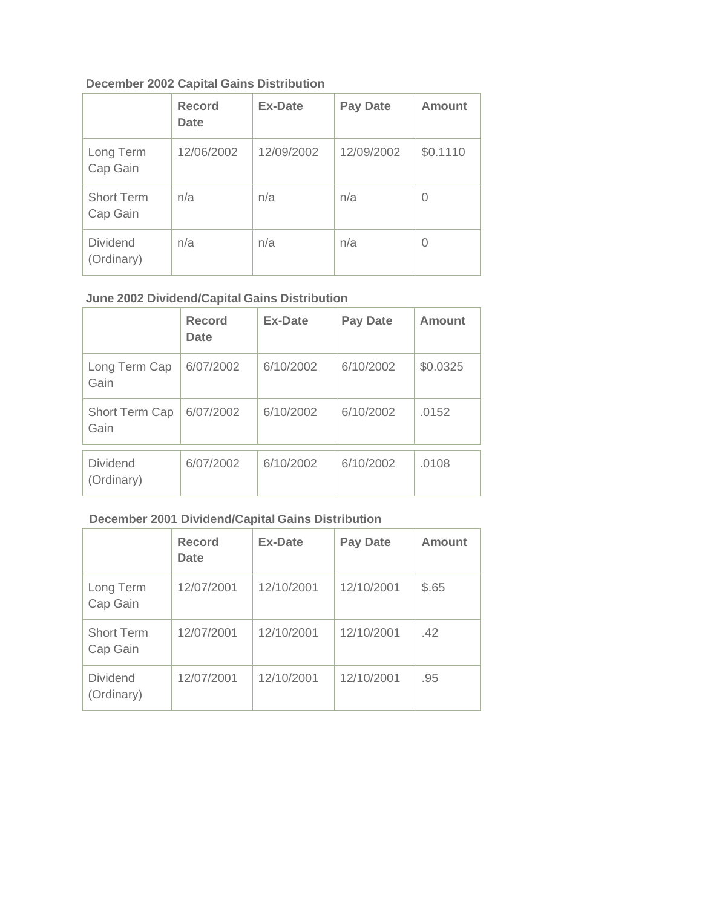## **December 2002 Capital Gains Distribution**

|                               | <b>Record</b><br><b>Date</b> | <b>Ex-Date</b> | <b>Pay Date</b> | <b>Amount</b> |
|-------------------------------|------------------------------|----------------|-----------------|---------------|
| Long Term<br>Cap Gain         | 12/06/2002                   | 12/09/2002     | 12/09/2002      | \$0.1110      |
| <b>Short Term</b><br>Cap Gain | n/a                          | n/a            | n/a             | 0             |
| <b>Dividend</b><br>(Ordinary) | n/a                          | n/a            | n/a             | 0             |

# **June 2002 Dividend/Capital Gains Distribution**

|                               | <b>Record</b><br>Date | <b>Ex-Date</b> | <b>Pay Date</b> | Amount   |
|-------------------------------|-----------------------|----------------|-----------------|----------|
| Long Term Cap<br>Gain         | 6/07/2002             | 6/10/2002      | 6/10/2002       | \$0.0325 |
| Short Term Cap<br>Gain        | 6/07/2002             | 6/10/2002      | 6/10/2002       | .0152    |
| <b>Dividend</b><br>(Ordinary) | 6/07/2002             | 6/10/2002      | 6/10/2002       | .0108    |

# **December 2001 Dividend/Capital Gains Distribution**

|                               | <b>Record</b><br><b>Date</b> | <b>Ex-Date</b> | <b>Pay Date</b> | <b>Amount</b> |
|-------------------------------|------------------------------|----------------|-----------------|---------------|
| Long Term<br>Cap Gain         | 12/07/2001                   | 12/10/2001     | 12/10/2001      | \$.65         |
| <b>Short Term</b><br>Cap Gain | 12/07/2001                   | 12/10/2001     | 12/10/2001      | .42           |
| <b>Dividend</b><br>(Ordinary) | 12/07/2001                   | 12/10/2001     | 12/10/2001      | .95           |